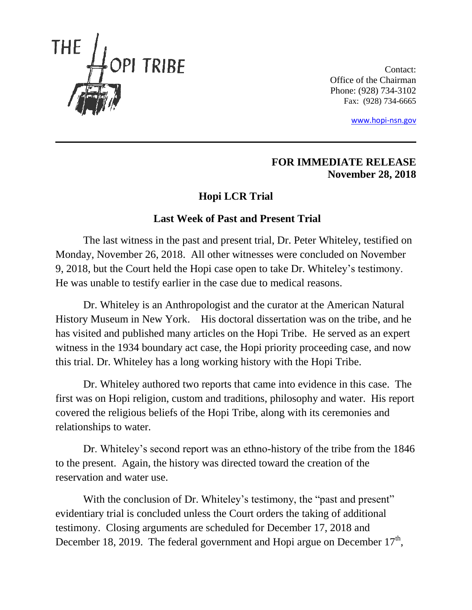

Contact: Office of the Chairman Phone: (928) 734-3102 Fax: (928) 734-6665

[www.hopi-nsn.gov](http://www.hopi-nsn.gov/)

## **FOR IMMEDIATE RELEASE November 28, 2018**

## **Hopi LCR Trial**

## **Last Week of Past and Present Trial**

The last witness in the past and present trial, Dr. Peter Whiteley, testified on Monday, November 26, 2018. All other witnesses were concluded on November 9, 2018, but the Court held the Hopi case open to take Dr. Whiteley's testimony. He was unable to testify earlier in the case due to medical reasons.

Dr. Whiteley is an Anthropologist and the curator at the American Natural History Museum in New York. His doctoral dissertation was on the tribe, and he has visited and published many articles on the Hopi Tribe. He served as an expert witness in the 1934 boundary act case, the Hopi priority proceeding case, and now this trial. Dr. Whiteley has a long working history with the Hopi Tribe.

Dr. Whiteley authored two reports that came into evidence in this case. The first was on Hopi religion, custom and traditions, philosophy and water. His report covered the religious beliefs of the Hopi Tribe, along with its ceremonies and relationships to water.

Dr. Whiteley's second report was an ethno-history of the tribe from the 1846 to the present. Again, the history was directed toward the creation of the reservation and water use.

With the conclusion of Dr. Whiteley's testimony, the "past and present" evidentiary trial is concluded unless the Court orders the taking of additional testimony. Closing arguments are scheduled for December 17, 2018 and December 18, 2019. The federal government and Hopi argue on December  $17<sup>th</sup>$ ,